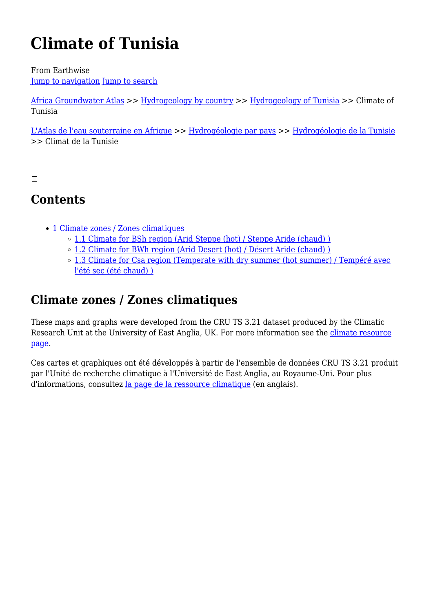# **Climate of Tunisia**

From Earthwise [Jump to navigation](#page--1-0) [Jump to search](#page--1-0)

[Africa Groundwater Atlas](http://earthwise.bgs.ac.uk/index.php/Africa_Groundwater_Atlas_Home) >> [Hydrogeology by country](http://earthwise.bgs.ac.uk/index.php/Hydrogeology_by_country) >> [Hydrogeology of Tunisia](http://earthwise.bgs.ac.uk/index.php/Hydrogeology_of_Tunisia) >> Climate of Tunisia

[L'Atlas de l'eau souterraine en Afrique](http://earthwise.bgs.ac.uk/index.php/Atlas_Eaux_Souterraines_Afrique) >> [Hydrogéologie par pays](http://earthwise.bgs.ac.uk/index.php/Hydrog%C3%A9ologie_par_pays) >> [Hydrogéologie de la Tunisie](http://earthwise.bgs.ac.uk/index.php/Hydrog%C3%A9ologie_de_la_Tunisie) >> Climat de la Tunisie

 $\Box$ 

# **Contents**

- [1](#Climate_zones_.2F_Zones_climatiques) [Climate zones / Zones climatiques](#Climate_zones_.2F_Zones_climatiques)
	- o [1.1](#Climate_for_BSh_region_.28Arid_Steppe_.28hot.29_.2F_Steppe_Aride_.28chaud.29_.29) [Climate for BSh region \(Arid Steppe \(hot\) / Steppe Aride \(chaud\) \)](#Climate_for_BSh_region_.28Arid_Steppe_.28hot.29_.2F_Steppe_Aride_.28chaud.29_.29)
	- o [1.2](#Climate_for_BWh_region_.28Arid_Desert_.28hot.29_.2F_D.C3.A9sert_Aride_.28chaud.29_.29) [Climate for BWh region \(Arid Desert \(hot\) / Désert Aride \(chaud\) \)](#Climate_for_BWh_region_.28Arid_Desert_.28hot.29_.2F_D.C3.A9sert_Aride_.28chaud.29_.29)
	- o [1.3](#Climate_for_Csa_region_.28Temperate_with_dry_summer_.28hot_summer.29_.2F_Temp.C3.A9r.C3.A9_avec_l.27.C3.A9t.C3.A9_sec_.28.C3.A9t.C3.A9_chaud.29_.29) [Climate for Csa region \(Temperate with dry summer \(hot summer\) / Tempéré avec](#Climate_for_Csa_region_.28Temperate_with_dry_summer_.28hot_summer.29_.2F_Temp.C3.A9r.C3.A9_avec_l.27.C3.A9t.C3.A9_sec_.28.C3.A9t.C3.A9_chaud.29_.29) [l'été sec \(été chaud\) \)](#Climate_for_Csa_region_.28Temperate_with_dry_summer_.28hot_summer.29_.2F_Temp.C3.A9r.C3.A9_avec_l.27.C3.A9t.C3.A9_sec_.28.C3.A9t.C3.A9_chaud.29_.29)

# **Climate zones / Zones climatiques**

These maps and graphs were developed from the CRU TS 3.21 dataset produced by the Climatic Research Unit at the University of East Anglia, UK. For more information see the [climate resource](http://earthwise.bgs.ac.uk/index.php/Climate) [page.](http://earthwise.bgs.ac.uk/index.php/Climate)

Ces cartes et graphiques ont été développés à partir de l'ensemble de données CRU TS 3.21 produit par l'Unité de recherche climatique à l'Université de East Anglia, au Royaume-Uni. Pour plus d'informations, consultez [la page de la ressource climatique](http://earthwise.bgs.ac.uk/index.php/Climate) (en anglais).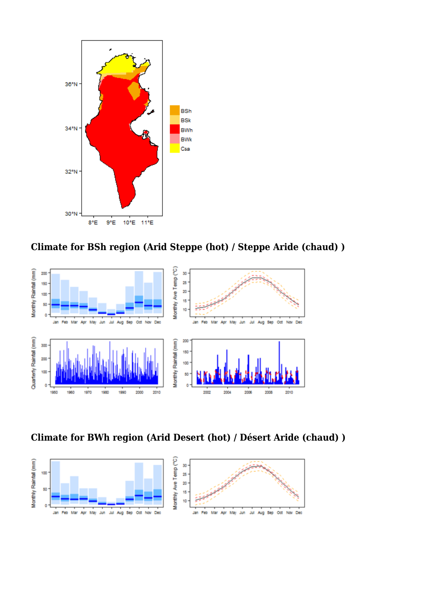

**Climate for BSh region (Arid Steppe (hot) / Steppe Aride (chaud) )**



**Climate for BWh region (Arid Desert (hot) / Désert Aride (chaud) )**

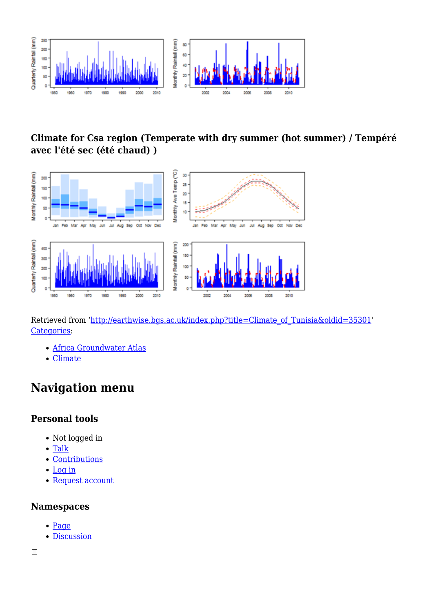

## **Climate for Csa region (Temperate with dry summer (hot summer) / Tempéré avec l'été sec (été chaud) )**



Retrieved from ['http://earthwise.bgs.ac.uk/index.php?title=Climate\\_of\\_Tunisia&oldid=35301'](http://earthwise.bgs.ac.uk/index.php?title=Climate_of_Tunisia&oldid=35301) [Categories:](http://earthwise.bgs.ac.uk/index.php/Special:Categories)

- [Africa Groundwater Atlas](http://earthwise.bgs.ac.uk/index.php/Category:Africa_Groundwater_Atlas)
- [Climate](http://earthwise.bgs.ac.uk/index.php/Category:Climate)

# **Navigation menu**

#### **Personal tools**

- Not logged in
- [Talk](http://earthwise.bgs.ac.uk/index.php/Special:MyTalk)
- [Contributions](http://earthwise.bgs.ac.uk/index.php/Special:MyContributions)
- [Log in](http://earthwise.bgs.ac.uk/index.php?title=Special:UserLogin&returnto=Climate+of+Tunisia&returntoquery=action%3Dmpdf)
- [Request account](http://earthwise.bgs.ac.uk/index.php/Special:RequestAccount)

#### **Namespaces**

- [Page](http://earthwise.bgs.ac.uk/index.php/Climate_of_Tunisia)
- [Discussion](http://earthwise.bgs.ac.uk/index.php?title=Talk:Climate_of_Tunisia&action=edit&redlink=1)

 $\overline{\phantom{a}}$